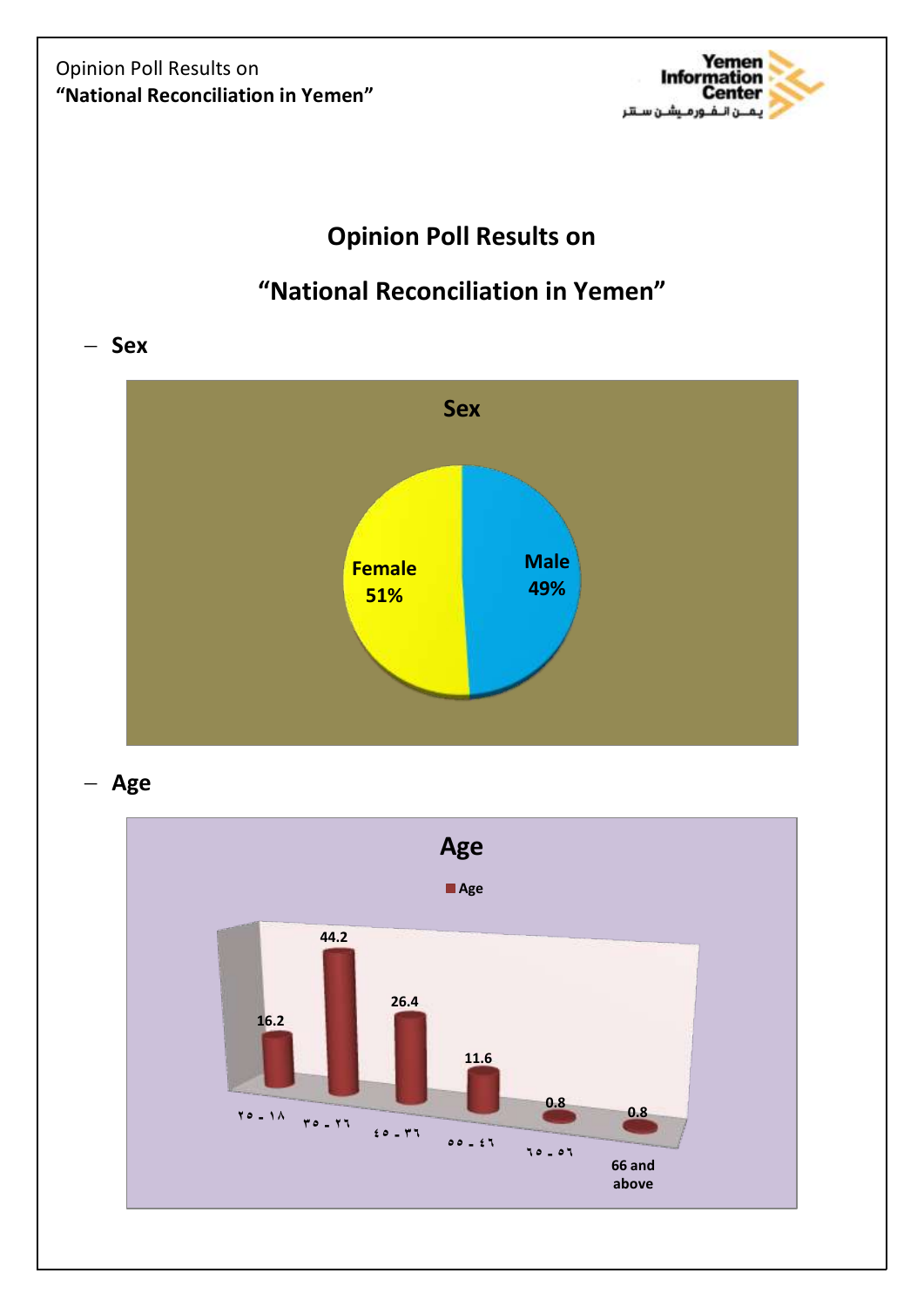

# **Opinion Poll Results on**

# **"National Reconciliation in Yemen"**

 $-$  Sex



**Age**

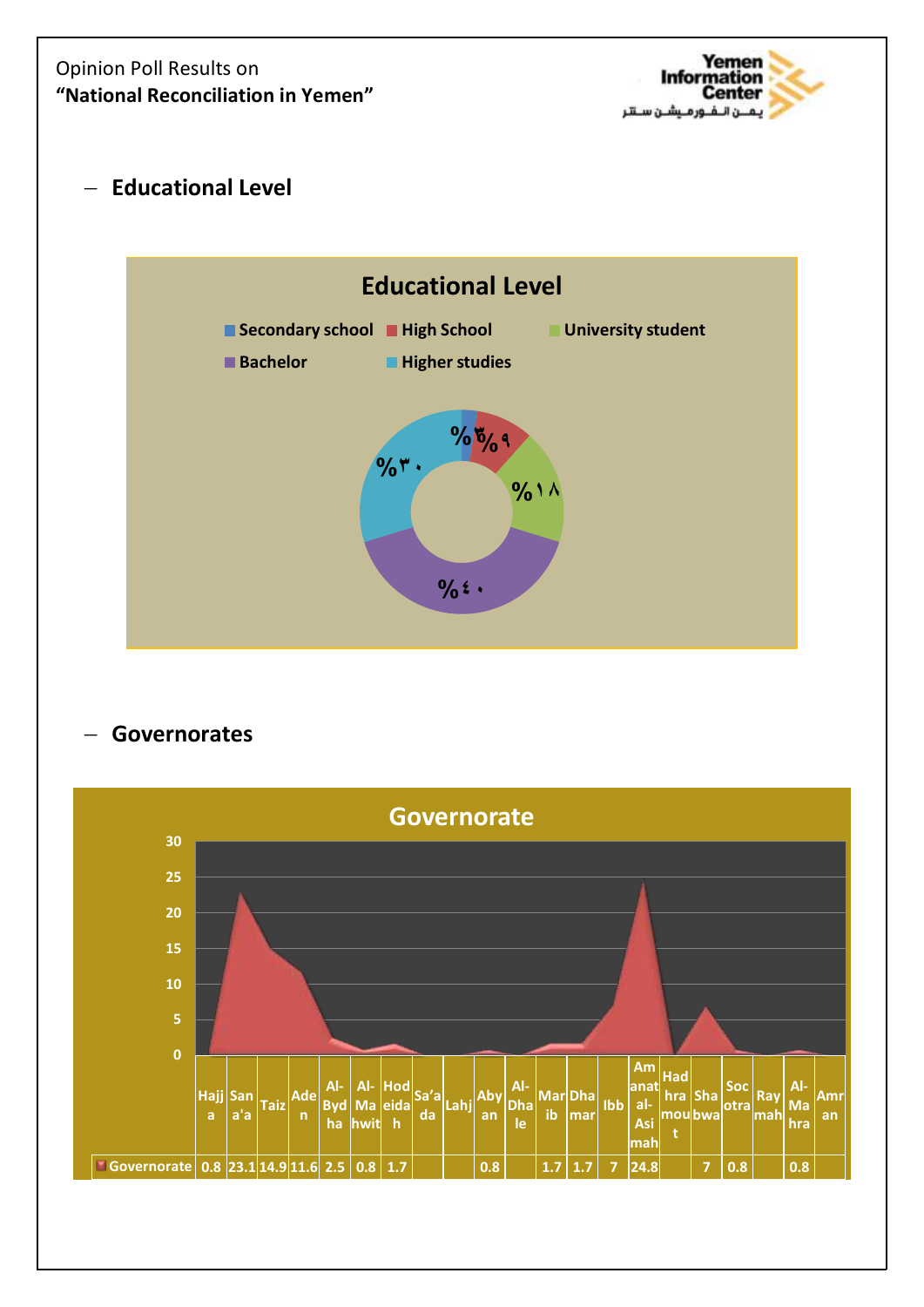### Opinion Poll Results on **"National Reconciliation in Yemen"**



**Educational Level**



## **Governorates**

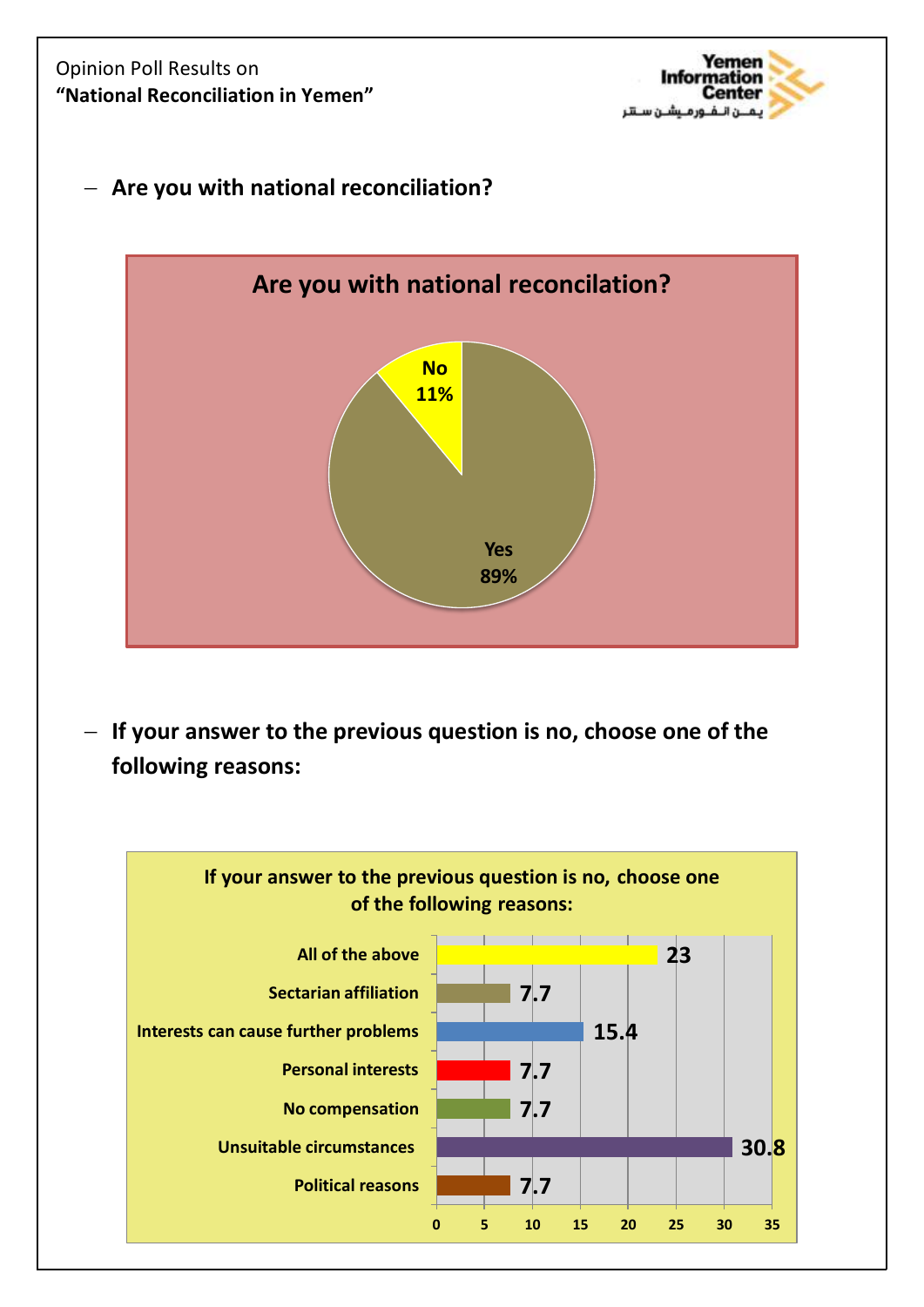### Opinion Poll Results on **"National Reconciliation in Yemen"**



### **Are you with national reconciliation?**



 **If your answer to the previous question is no, choose one of the following reasons:**

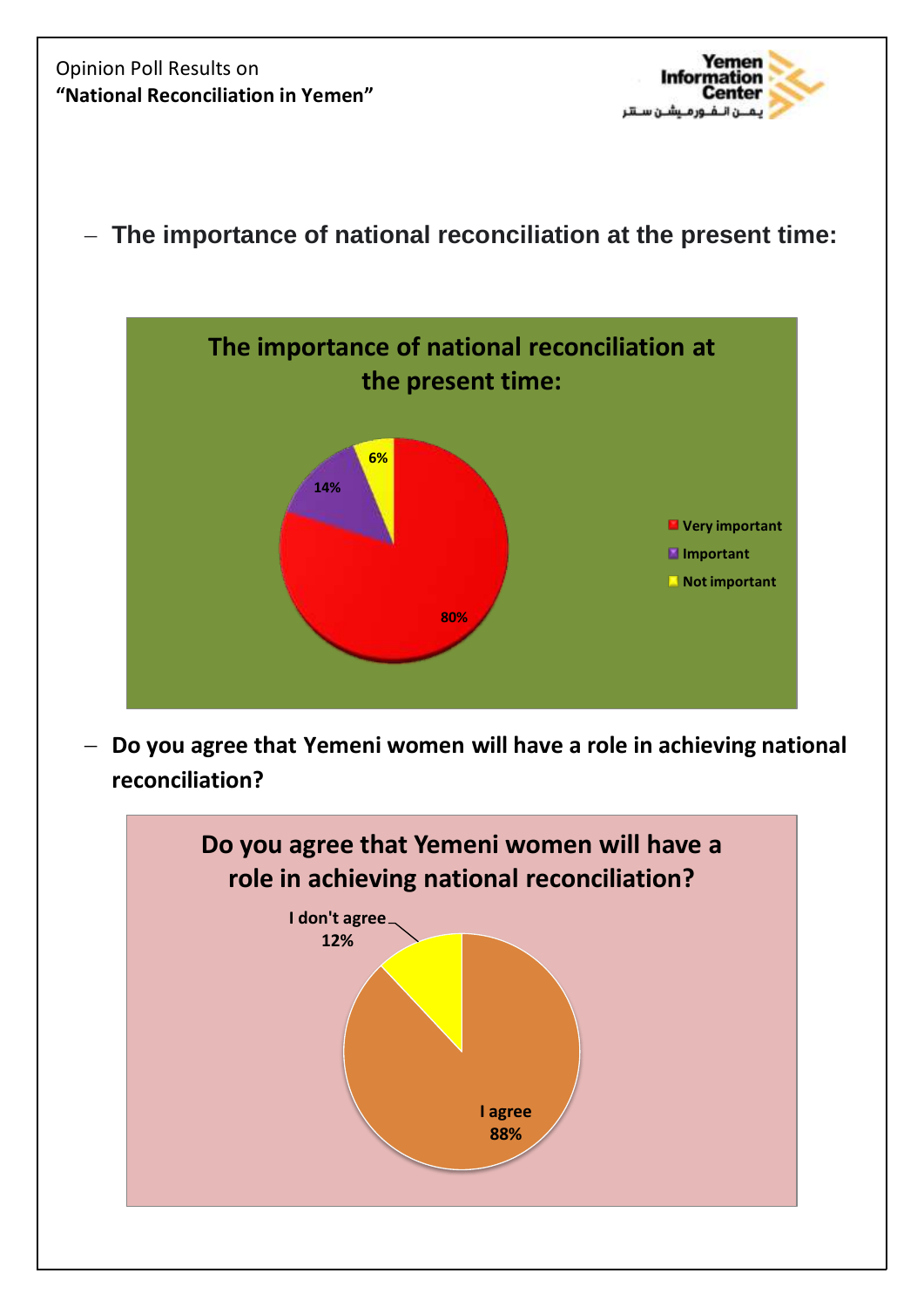Opinion Poll Results on **"National Reconciliation in Yemen"**



**The importance of national reconciliation at the present time:**



 **Do you agree that Yemeni women will have a role in achieving national reconciliation?**

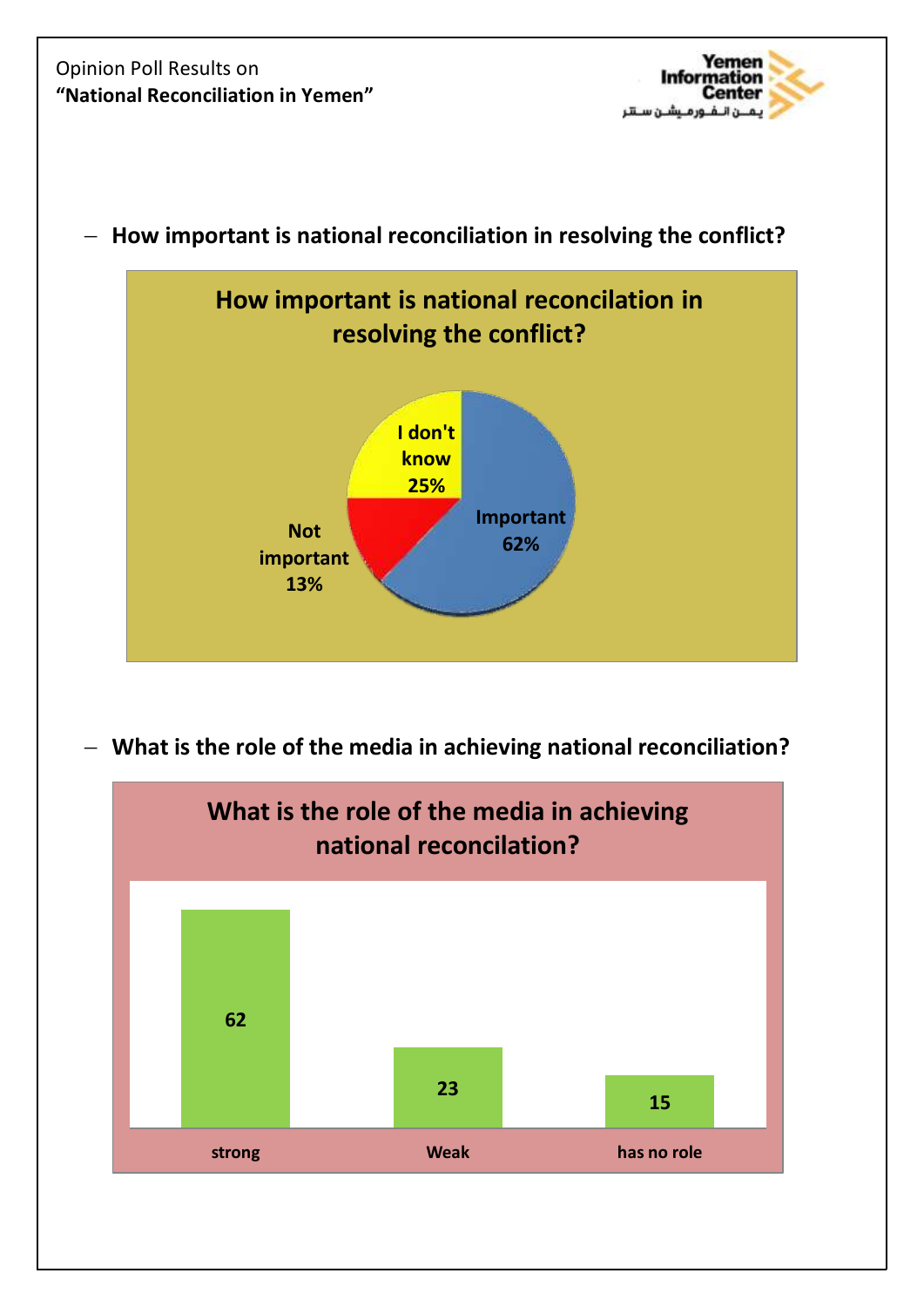



**How important is national reconciliation in resolving the conflict?**

**What is the role of the media in achieving national reconciliation?**